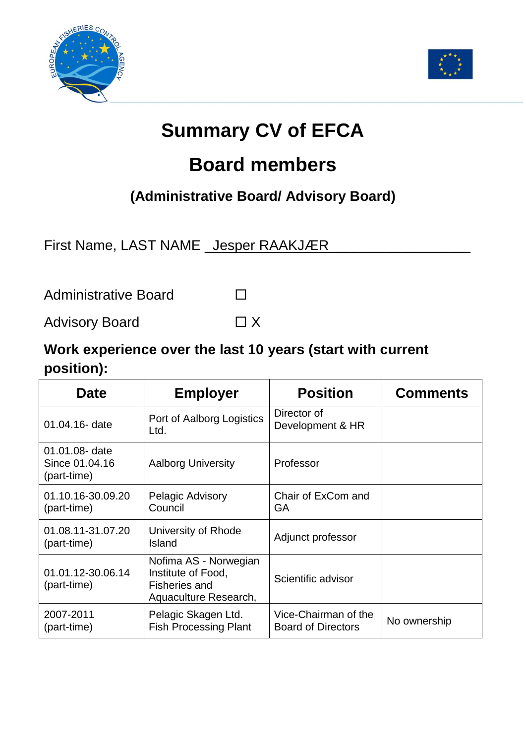



## **Summary CV of EFCA**

## **Board members**

## **(Administrative Board/ Advisory Board)**

First Name, LAST NAME \_Jesper RAAKJÆR

Administrative Board

Advisory Board  $\Box X$ 

## **Work experience over the last 10 years (start with current position):**

| <b>Date</b>                                     | <b>Employer</b>                                                                              | <b>Position</b>                                   | <b>Comments</b> |
|-------------------------------------------------|----------------------------------------------------------------------------------------------|---------------------------------------------------|-----------------|
| 01.04.16- date                                  | Port of Aalborg Logistics<br>Ltd.                                                            | Director of<br>Development & HR                   |                 |
| 01.01.08- date<br>Since 01.04.16<br>(part-time) | <b>Aalborg University</b>                                                                    | Professor                                         |                 |
| 01.10.16-30.09.20<br>(part-time)                | <b>Pelagic Advisory</b><br>Council                                                           | Chair of ExCom and<br>GA                          |                 |
| 01.08.11-31.07.20<br>(part-time)                | University of Rhode<br>Island                                                                | Adjunct professor                                 |                 |
| 01.01.12-30.06.14<br>(part-time)                | Nofima AS - Norwegian<br>Institute of Food,<br><b>Fisheries and</b><br>Aquaculture Research, | Scientific advisor                                |                 |
| 2007-2011<br>(part-time)                        | Pelagic Skagen Ltd.<br><b>Fish Processing Plant</b>                                          | Vice-Chairman of the<br><b>Board of Directors</b> | No ownership    |